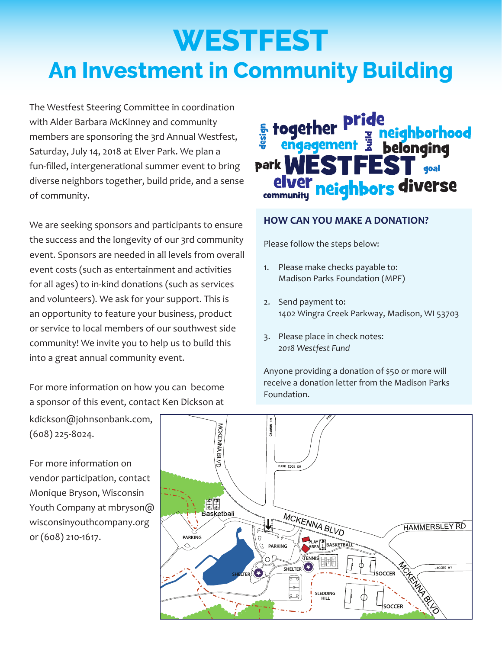# **WESTFEST An Investment in Community Building**

The Westfest Steering Committee in coordination with Alder Barbara McKinney and community members are sponsoring the 3rd Annual Westfest, Saturday, July 14, 2018 at Elver Park. We plan a fun-filled, intergenerational summer event to bring diverse neighbors together, build pride, and a sense of community.

We are seeking sponsors and participants to ensure the success and the longevity of our 3rd community event. Sponsors are needed in all levels from overall event costs (such as entertainment and activities for all ages) to in-kind donations (such as services and volunteers). We ask for your support. This is an opportunity to feature your business, product or service to local members of our southwest side community! We invite you to help us to build this into a great annual community event.

For more information on how you can become a sponsor of this event, contact Ken Dickson at

### **E** together neighborhood Ē belonging endadement park neighbors diverse

#### **HOW CAN YOU MAKE A DONATION?**

Please follow the steps below:

- 1. Please make checks payable to: Madison Parks Foundation (MPF)
- 2. Send payment to: 1402 Wingra Creek Parkway, Madison, WI 53703
- 3. Please place in check notes: *2018 Westfest Fund*

Anyone providing a donation of \$50 or more will receive a donation letter from the Madison Parks Foundation.

kdickson@johnsonbank.com, (608) 225-8024.

For more information on vendor participation, contact Monique Bryson, Wisconsin Youth Company at mbryson@ wisconsinyouthcompany.org or (608) 210-1617.